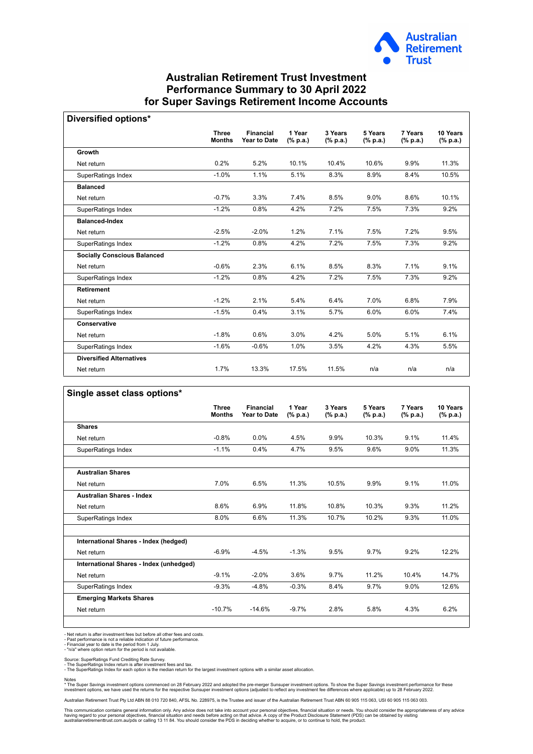

## **Australian Retirement Trust Investment Performance Summary to 30 April 2022 for Super Savings Retirement Income Accounts**

| Diversified options*               |                               |                                         |                    |                                      |                     |                     |                      |
|------------------------------------|-------------------------------|-----------------------------------------|--------------------|--------------------------------------|---------------------|---------------------|----------------------|
|                                    | <b>Three</b><br><b>Months</b> | <b>Financial</b><br><b>Year to Date</b> | 1 Year<br>(% p.a.) | 3 Years<br>$(% \mathbf{a})$ (% p.a.) | 5 Years<br>(% p.a.) | 7 Years<br>(% p.a.) | 10 Years<br>(% p.a.) |
| Growth                             |                               |                                         |                    |                                      |                     |                     |                      |
| Net return                         | 0.2%                          | 5.2%                                    | 10.1%              | 10.4%                                | 10.6%               | 9.9%                | 11.3%                |
| SuperRatings Index                 | $-1.0%$                       | 1.1%                                    | 5.1%               | 8.3%                                 | 8.9%                | 8.4%                | 10.5%                |
| <b>Balanced</b>                    |                               |                                         |                    |                                      |                     |                     |                      |
| Net return                         | $-0.7%$                       | 3.3%                                    | 7.4%               | 8.5%                                 | $9.0\%$             | 8.6%                | 10.1%                |
| SuperRatings Index                 | $-1.2%$                       | 0.8%                                    | 4.2%               | 7.2%                                 | 7.5%                | 7.3%                | 9.2%                 |
| <b>Balanced-Index</b>              |                               |                                         |                    |                                      |                     |                     |                      |
| Net return                         | $-2.5%$                       | $-2.0%$                                 | 1.2%               | 7.1%                                 | 7.5%                | 7.2%                | 9.5%                 |
| SuperRatings Index                 | $-1.2%$                       | 0.8%                                    | 4.2%               | 7.2%                                 | 7.5%                | 7.3%                | 9.2%                 |
| <b>Socially Conscious Balanced</b> |                               |                                         |                    |                                      |                     |                     |                      |
| Net return                         | $-0.6%$                       | 2.3%                                    | 6.1%               | 8.5%                                 | 8.3%                | 7.1%                | 9.1%                 |
| SuperRatings Index                 | $-1.2%$                       | 0.8%                                    | 4.2%               | 7.2%                                 | 7.5%                | 7.3%                | 9.2%                 |
| <b>Retirement</b>                  |                               |                                         |                    |                                      |                     |                     |                      |
| Net return                         | $-1.2%$                       | 2.1%                                    | 5.4%               | 6.4%                                 | 7.0%                | 6.8%                | 7.9%                 |
| SuperRatings Index                 | $-1.5%$                       | 0.4%                                    | 3.1%               | 5.7%                                 | 6.0%                | 6.0%                | 7.4%                 |
| Conservative                       |                               |                                         |                    |                                      |                     |                     |                      |
| Net return                         | $-1.8%$                       | 0.6%                                    | 3.0%               | 4.2%                                 | 5.0%                | 5.1%                | 6.1%                 |
| SuperRatings Index                 | $-1.6%$                       | $-0.6%$                                 | 1.0%               | 3.5%                                 | 4.2%                | 4.3%                | 5.5%                 |
| <b>Diversified Alternatives</b>    |                               |                                         |                    |                                      |                     |                     |                      |
| Net return                         | 1.7%                          | 13.3%                                   | 17.5%              | 11.5%                                | n/a                 | n/a                 | n/a                  |

|                                         | <b>Three</b><br><b>Months</b> | <b>Financial</b><br><b>Year to Date</b> | 1 Year<br>(% p.a.) | 3 Years<br>(% p.a.) | 5 Years<br>(% p.a.) | 7 Years<br>(% p.a.) | 10 Years<br>(% p.a.) |
|-----------------------------------------|-------------------------------|-----------------------------------------|--------------------|---------------------|---------------------|---------------------|----------------------|
| <b>Shares</b>                           |                               |                                         |                    |                     |                     |                     |                      |
| Net return                              | $-0.8%$                       | $0.0\%$                                 | 4.5%               | 9.9%                | 10.3%               | 9.1%                | 11.4%                |
| SuperRatings Index                      | $-1.1%$                       | 0.4%                                    | 4.7%               | 9.5%                | 9.6%                | 9.0%                | 11.3%                |
| <b>Australian Shares</b>                |                               |                                         |                    |                     |                     |                     |                      |
| Net return                              | 7.0%                          | 6.5%                                    | 11.3%              | 10.5%               | 9.9%                | 9.1%                | 11.0%                |
| <b>Australian Shares - Index</b>        |                               |                                         |                    |                     |                     |                     |                      |
| Net return                              | 8.6%                          | 6.9%                                    | 11.8%              | 10.8%               | 10.3%               | 9.3%                | 11.2%                |
| SuperRatings Index                      | 8.0%                          | 6.6%                                    | 11.3%              | 10.7%               | 10.2%               | 9.3%                | 11.0%                |
| International Shares - Index (hedged)   |                               |                                         |                    |                     |                     |                     |                      |
| Net return                              | $-6.9%$                       | $-4.5%$                                 | $-1.3%$            | 9.5%                | 9.7%                | 9.2%                | 12.2%                |
| International Shares - Index (unhedged) |                               |                                         |                    |                     |                     |                     |                      |
| Net return                              | $-9.1%$                       | $-2.0%$                                 | 3.6%               | 9.7%                | 11.2%               | 10.4%               | 14.7%                |
| SuperRatings Index                      | $-9.3%$                       | $-4.8%$                                 | $-0.3%$            | 8.4%                | 9.7%                | 9.0%                | 12.6%                |
| <b>Emerging Markets Shares</b>          |                               |                                         |                    |                     |                     |                     |                      |
| Net return                              | $-10.7%$                      | $-14.6%$                                | $-9.7%$            | 2.8%                | 5.8%                | 4.3%                | 6.2%                 |

- Net return is after investment fees but before all other fees and costs.<br>- Past performance is not a reliable indication of future performance.<br>- Financial year to date is the period from 1 July.<br>- "n/a" where option ret

Source: SuperRatings Fund Crediting Rate Survey.<br>- The SuperRatings Index return is after investment fees and tax.<br>- The SuperRatings Index for each option is the median return for the largest investment options with a sim

Notes<br>\* The Super Savings investment options commenced on 28 February 2022 and adopted the pre-merger Sunsuper investment options. To show the Super Savings investment performance for these<br>investment options, we have used

Australian Retirement Trust Pty Ltd ABN 88 010 720 840, AFSL No. 228975, is the Trustee and issuer of the Australian Retirement Trust ABN 60 905 115 063, USI 60 905 115 063 003.

This communication contains general information only. Any advice does not take into account your personal objectives, financial situation or needs. You should consider the appropriateness of any advice<br>having regard to you